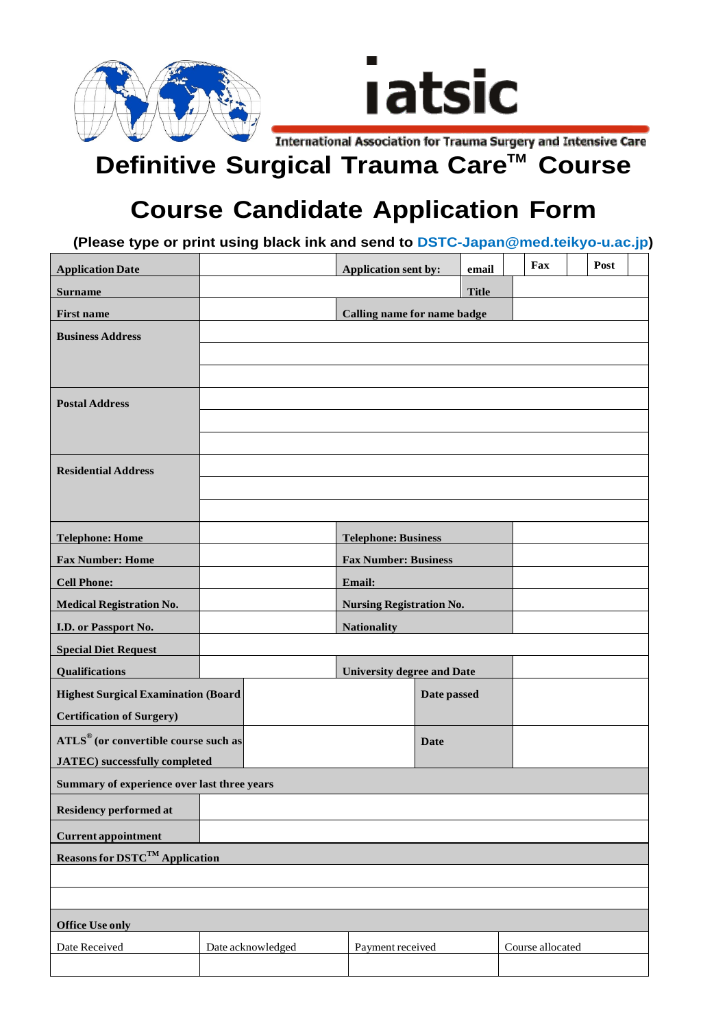

## **Definitive Surgical Trauma Care™ Course**

## **Course Candidate Application Form**

**(Please type or print using black ink and send to DSTC-Japan@med.teikyo-u.ac.jp)** 

| <b>Application Date</b>                     |                                   | <b>Application sent by:</b>     |             | email        | Fax              |  | Post |  |
|---------------------------------------------|-----------------------------------|---------------------------------|-------------|--------------|------------------|--|------|--|
| <b>Surname</b>                              |                                   |                                 |             | <b>Title</b> |                  |  |      |  |
| <b>First name</b>                           | Calling name for name badge       |                                 |             |              |                  |  |      |  |
| <b>Business Address</b>                     |                                   |                                 |             |              |                  |  |      |  |
|                                             |                                   |                                 |             |              |                  |  |      |  |
|                                             |                                   |                                 |             |              |                  |  |      |  |
|                                             |                                   |                                 |             |              |                  |  |      |  |
| <b>Postal Address</b>                       |                                   |                                 |             |              |                  |  |      |  |
|                                             |                                   |                                 |             |              |                  |  |      |  |
|                                             |                                   |                                 |             |              |                  |  |      |  |
| <b>Residential Address</b>                  |                                   |                                 |             |              |                  |  |      |  |
|                                             |                                   |                                 |             |              |                  |  |      |  |
|                                             |                                   |                                 |             |              |                  |  |      |  |
| <b>Telephone: Home</b>                      |                                   | <b>Telephone: Business</b>      |             |              |                  |  |      |  |
| <b>Fax Number: Home</b>                     |                                   | <b>Fax Number: Business</b>     |             |              |                  |  |      |  |
| <b>Cell Phone:</b>                          |                                   | Email:                          |             |              |                  |  |      |  |
| <b>Medical Registration No.</b>             |                                   | <b>Nursing Registration No.</b> |             |              |                  |  |      |  |
| I.D. or Passport No.                        |                                   | <b>Nationality</b>              |             |              |                  |  |      |  |
| <b>Special Diet Request</b>                 |                                   |                                 |             |              |                  |  |      |  |
| Qualifications                              | <b>University degree and Date</b> |                                 |             |              |                  |  |      |  |
| <b>Highest Surgical Examination (Board</b>  |                                   |                                 | Date passed |              |                  |  |      |  |
| <b>Certification of Surgery)</b>            |                                   |                                 |             |              |                  |  |      |  |
| ATLS® (or convertible course such as        |                                   |                                 | <b>Date</b> |              |                  |  |      |  |
| <b>JATEC</b> ) successfully completed       |                                   |                                 |             |              |                  |  |      |  |
| Summary of experience over last three years |                                   |                                 |             |              |                  |  |      |  |
| <b>Residency performed at</b>               |                                   |                                 |             |              |                  |  |      |  |
| <b>Current appointment</b>                  |                                   |                                 |             |              |                  |  |      |  |
| Reasons for DSTC <sup>TM</sup> Application  |                                   |                                 |             |              |                  |  |      |  |
|                                             |                                   |                                 |             |              |                  |  |      |  |
|                                             |                                   |                                 |             |              |                  |  |      |  |
| <b>Office Use only</b>                      |                                   |                                 |             |              |                  |  |      |  |
| Date Received                               | Date acknowledged                 | Payment received                |             |              | Course allocated |  |      |  |
|                                             |                                   |                                 |             |              |                  |  |      |  |
|                                             |                                   |                                 |             |              |                  |  |      |  |